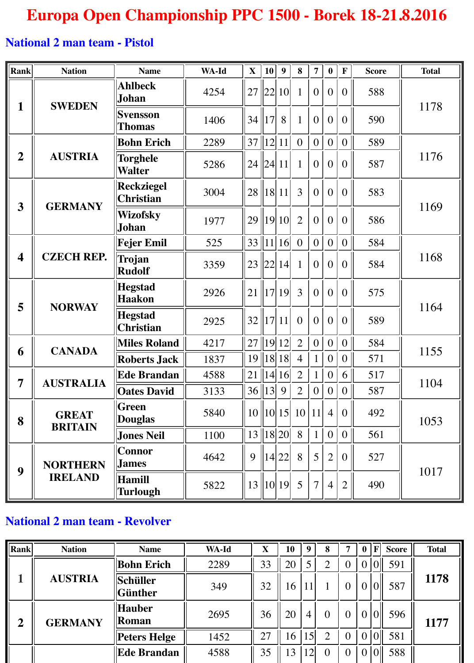## **Europa Open Championship PPC 1500 - Borek 18-21.8.2016**

## **National 2 man team - Pistol**

| Rank                    | <b>Nation</b>                     | <b>Name</b>                           | WA-Id | $\mathbf X$                              | 10 | 9                    | 8              | $\overline{7}$ | $\boldsymbol{0}$ | $\mathbf F$      | <b>Score</b> | <b>Total</b> |  |
|-------------------------|-----------------------------------|---------------------------------------|-------|------------------------------------------|----|----------------------|----------------|----------------|------------------|------------------|--------------|--------------|--|
| 1                       | <b>SWEDEN</b>                     | <b>Ahlbeck</b><br>Johan               | 4254  | 27                                       |    | 22  10               | $\mathbf{1}$   | $\overline{0}$ | $\overline{0}$   | $\overline{0}$   | 588          | 1178         |  |
|                         |                                   | <b>Svensson</b><br><b>Thomas</b>      | 1406  | 34  17                                   |    | 8                    | $\mathbf{1}$   | $\Omega$       | $\overline{0}$   | $\boldsymbol{0}$ | 590          |              |  |
|                         | <b>AUSTRIA</b>                    | <b>Bohn Erich</b>                     | 2289  | 37  12  11                               |    |                      | $\overline{0}$ | $\overline{0}$ | $\overline{0}$   | $\overline{0}$   | 589          | 1176         |  |
| $\overline{2}$          |                                   | <b>Torghele</b><br><b>Walter</b>      | 5286  | 24  24  11                               |    |                      | $\mathbf{1}$   | $\overline{0}$ | $\overline{0}$   | $\overline{0}$   | 587          |              |  |
| 3                       | <b>GERMANY</b>                    | <b>Reckziegel</b><br><b>Christian</b> | 3004  | $28$   18   11                           |    |                      | 3              | $\overline{0}$ | $\overline{0}$   | $\overline{0}$   | 583          | 1169         |  |
|                         |                                   | <b>Wizofsky</b><br>Johan              | 1977  |                                          |    | $29$   19 10         | $\overline{2}$ | $\Omega$       | $\overline{0}$   | $\overline{0}$   | 586          |              |  |
|                         | <b>CZECH REP.</b>                 | <b>Fejer Emil</b>                     | 525   | $33$   11  16                            |    |                      | $\overline{0}$ | $\overline{0}$ | $\boldsymbol{0}$ | $\overline{0}$   | 584          |              |  |
| $\overline{\mathbf{4}}$ |                                   | Trojan<br><b>Rudolf</b>               | 3359  |                                          |    | $23$  22  14         | $\mathbf{1}$   | $\overline{0}$ | $\overline{0}$   | $\overline{0}$   | 584          | 1168         |  |
| 5                       | <b>NORWAY</b>                     | <b>Hegstad</b><br><b>Haakon</b>       | 2926  | 21                                       |    | 17 19                | 3              | $\Omega$       | $\overline{0}$   | $\overline{0}$   | 575          | 1164         |  |
|                         |                                   | <b>Hegstad</b><br><b>Christian</b>    | 2925  | 32  17 11                                |    |                      | $\overline{0}$ | $\overline{0}$ | $\overline{0}$   | $\overline{0}$   | 589          |              |  |
| 6                       | <b>CANADA</b>                     | <b>Miles Roland</b>                   | 4217  | $27$   19  12                            |    |                      | $\overline{2}$ | $\overline{0}$ | $\overline{0}$   | $\overline{0}$   | 584          | 1155         |  |
|                         |                                   | <b>Roberts Jack</b>                   | 1837  |                                          |    | $19$   18  18        | $\overline{4}$ |                | $\boldsymbol{0}$ | $\overline{0}$   | 571          |              |  |
| $\overline{7}$          | <b>AUSTRALIA</b>                  | <b>Ede Brandan</b>                    | 4588  | $\left  21 \right  \left  14 \right  16$ |    |                      | $\overline{2}$ | $\mathbf{1}$   | $\mathbf{0}$     | 6                | 517          | 1104         |  |
|                         |                                   | <b>Oates David</b>                    | 3133  | 36  13 9                                 |    |                      | $\overline{2}$ | 0              | $\overline{0}$   | 0 <sup>1</sup>   | 587          |              |  |
| 8                       | <b>GREAT</b><br><b>BRITAIN</b>    | <b>Green</b><br><b>Douglas</b>        | 5840  |                                          |    | $10$    $10$    $15$ | 10             | 11             | $\overline{4}$   | $\theta$         | 492          | 1053         |  |
|                         |                                   | <b>Jones Neil</b>                     | 1100  |                                          |    | 13  18 20            | 8              | $\mathbf{1}$   | $\mathbf{0}$     | 0                | 561          |              |  |
| 9                       | <b>NORTHERN</b><br><b>IRELAND</b> | Connor<br><b>James</b>                | 4642  | 9                                        |    | $\ 14 22\ $          | 8              | 5 <sup>1</sup> | $\overline{2}$   | $\overline{0}$   | 527          |              |  |
|                         |                                   | Hamill<br><b>Turlough</b>             | 5822  |                                          |    | $13$   10  19        | 5              | $\overline{7}$ | $\overline{4}$   | $\overline{2}$   | 490          | 1017         |  |

## **National 2 man team - Revolver**

| Rank           | <b>Nation</b>  | <b>Name</b>                     | WA-Id | X  | 10 | -9             | 8              | 7              | $\bf{0}$       | $\mathbf{F}$ | <b>Score</b> | <b>Total</b> |
|----------------|----------------|---------------------------------|-------|----|----|----------------|----------------|----------------|----------------|--------------|--------------|--------------|
|                | <b>AUSTRIA</b> | <b>Bohn Erich</b>               | 2289  | 33 | 20 |                | ∍              | $\overline{0}$ | $\overline{0}$ |              | 591          | 1178         |
|                |                | <b>Schüller</b><br>$\ $ Günther | 349   | 32 | 16 |                |                | $\overline{0}$ | $\bf{0}$       |              | 587          |              |
| $\overline{2}$ | <b>GERMANY</b> | <b>Hauber</b><br><b>Roman</b>   | 2695  | 36 | 20 | $\overline{4}$ | $\overline{0}$ | $\theta$       | $\overline{0}$ |              | 596          | 1177         |
|                |                | Peters Helge                    | 1452  | 27 | 16 | 15             | $\overline{2}$ | $\overline{0}$ | $\overline{0}$ |              | 581          |              |
|                |                | <b>Ede Brandan</b>              | 4588  | 35 | 13 | 12             | $\theta$       | $\overline{0}$ | $\overline{0}$ |              | 588          |              |